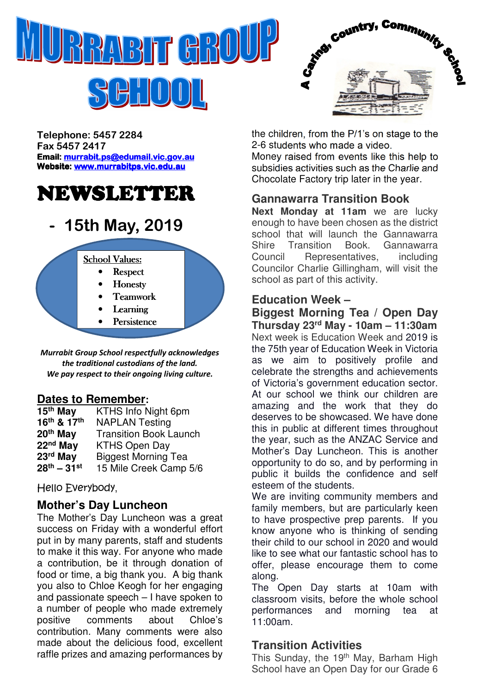

BHOOL



Telephone: 5457 2284 Fax 5457 2417 Email: murrabit.ps@edumail.vic.gov.au Website: www.murrabitps.vic.edu.au

# NEWSLETTER

# 15th May, 2019



Murrabit Group School respectfully acknowledges the traditional custodians of the land. We pay respect to their ongoing living culture.

#### **Dates to Remember:**

| 15th May             | KTHS Info Night 6pm           |
|----------------------|-------------------------------|
| 16th & 17th          | <b>NAPLAN Testing</b>         |
| 20 <sup>th</sup> May | <b>Transition Book Launch</b> |
| 22 <sup>nd</sup> May | <b>KTHS Open Day</b>          |
| 23rd May             | <b>Biggest Morning Tea</b>    |
| $28^{th} - 31^{st}$  | 15 Mile Creek Camp 5/6        |

Hello Everybody,

#### **Mother's Day Luncheon**

The Mother's Day Luncheon was a great success on Friday with a wonderful effort put in by many parents, staff and students to make it this way. For anyone who made a contribution, be it through donation of food or time, a big thank you. A big thank you also to Chloe Keogh for her engaging and passionate speech – I have spoken to a number of people who made extremely positive comments about Chloe's contribution. Many comments were also made about the delicious food, excellent raffle prizes and amazing performances by the children, from the P/1's on stage to the 2-6 students who made a video.

Money raised from events like this help to subsidies activities such as the Charlie and Chocolate Factory trip later in the year.

#### **Gannawarra Transition Book**

**Next Monday at 11am** we are lucky enough to have been chosen as the district school that will launch the Gannawarra Shire Transition Book. Gannawarra Council Representatives, including Councilor Charlie Gillingham, will visit the school as part of this activity.

# **Education Week –**

**Biggest Morning Tea / Open Day Thursday 23rd May - 10am – 11:30am** Next week is Education Week and 2019 is the 75th year of Education Week in Victoria as we aim to positively profile and celebrate the strengths and achievements of Victoria's government education sector. At our school we think our children are amazing and the work that they do deserves to be showcased. We have done this in public at different times throughout the year, such as the ANZAC Service and Mother's Day Luncheon. This is another opportunity to do so, and by performing in public it builds the confidence and self esteem of the students.

We are inviting community members and family members, but are particularly keen to have prospective prep parents. If you know anyone who is thinking of sending their child to our school in 2020 and would like to see what our fantastic school has to offer, please encourage them to come along.

The Open Day starts at 10am with classroom visits, before the whole school performances and morning tea at 11:00am.

#### **Transition Activities**

This Sunday, the 19<sup>th</sup> May, Barham High School have an Open Day for our Grade 6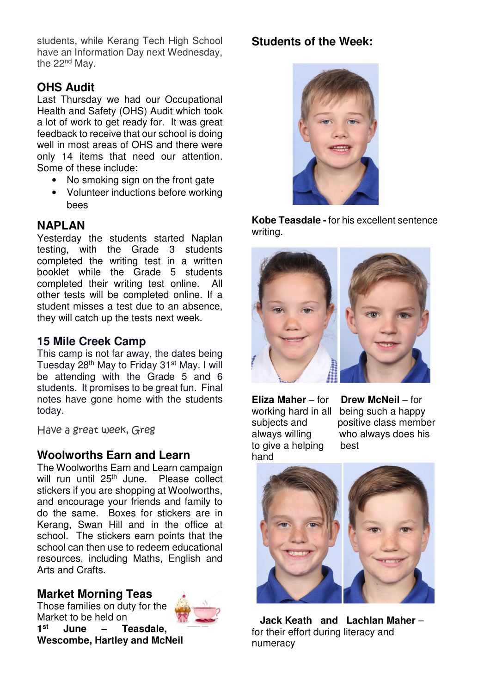students, while Kerang Tech High School have an Information Day next Wednesday, the 22<sup>nd</sup> May.

## **OHS Audit**

Last Thursday we had our Occupational Health and Safety (OHS) Audit which took a lot of work to get ready for. It was great feedback to receive that our school is doing well in most areas of OHS and there were only 14 items that need our attention. Some of these include:

- No smoking sign on the front gate
- Volunteer inductions before working bees

## **NAPLAN**

Yesterday the students started Naplan testing, with the Grade 3 students completed the writing test in a written booklet while the Grade 5 students completed their writing test online. All other tests will be completed online. If a student misses a test due to an absence, they will catch up the tests next week.

#### **15 Mile Creek Camp**

This camp is not far away, the dates being Tuesday 28<sup>th</sup> May to Friday 31<sup>st</sup> May. I will be attending with the Grade 5 and 6 students. It promises to be great fun. Final notes have gone home with the students today.

Have a great week, Greg

#### **Woolworths Earn and Learn**

The Woolworths Earn and Learn campaign will run until 25<sup>th</sup> June. Please collect stickers if you are shopping at Woolworths, and encourage your friends and family to do the same. Boxes for stickers are in Kerang, Swan Hill and in the office at school. The stickers earn points that the school can then use to redeem educational resources, including Maths, English and Arts and Crafts.

#### **Market Morning Teas**

Those families on duty for the Market to be held on **1 st June – Teasdale, Wescombe, Hartley and McNeil** 



#### **Students of the Week:**



**Kobe Teasdale -** for his excellent sentence writing.



to give a helping best hand

**Eliza Maher** – for **Drew McNeil** – for working hard in all being such a happy subjects and positive class member always willing who always does his



 **Jack Keath and Lachlan Maher** – for their effort during literacy and numeracy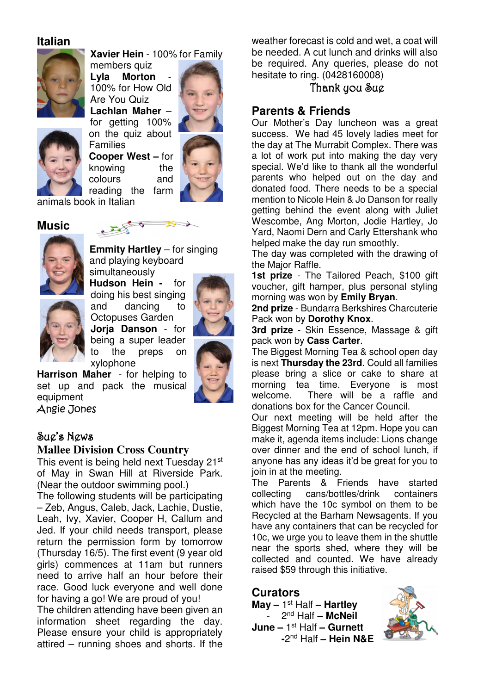#### **Italian**



**Xavier Hein** - 100% for Family

members quiz Lyla Morton 100% for How Old Are You Quiz **Lachlan Maher** – for getting 100% on the quiz about

**Cooper West –** for knowing the colours and



reading the farm animals book in Italian

Families

 $\sum$ 

#### **Music**



**Emmity Hartley** – for singing and playing keyboard simultaneously

**Hudson Hein -** for doing his best singing and dancing to Octopuses Garden **Jorja Danson** - for being a super leader to the preps on xylophone



**Harrison Maher** - for helping to set up and pack the musical equipment Angie Jones

#### Sue's News

#### **Mallee Division Cross Country**

This event is being held next Tuesday 21st of May in Swan Hill at Riverside Park. (Near the outdoor swimming pool.)

The following students will be participating – Zeb, Angus, Caleb, Jack, Lachie, Dustie, Leah, Ivy, Xavier, Cooper H, Callum and Jed. If your child needs transport, please return the permission form by tomorrow (Thursday 16/5). The first event (9 year old girls) commences at 11am but runners need to arrive half an hour before their race. Good luck everyone and well done for having a go! We are proud of you!

The children attending have been given an information sheet regarding the day. Please ensure your child is appropriately attired – running shoes and shorts. If the

weather forecast is cold and wet, a coat will be needed. A cut lunch and drinks will also be required. Any queries, please do not hesitate to ring. (0428160008)

#### Thank you Sug

#### **Parents & Friends**

Our Mother's Day luncheon was a great success. We had 45 lovely ladies meet for the day at The Murrabit Complex. There was a lot of work put into making the day very special. We'd like to thank all the wonderful parents who helped out on the day and donated food. There needs to be a special mention to Nicole Hein & Jo Danson for really getting behind the event along with Juliet Wescombe, Ang Morton, Jodie Hartley, Jo Yard, Naomi Dern and Carly Ettershank who helped make the day run smoothly.

The day was completed with the drawing of the Major Raffle.

**1st prize** - The Tailored Peach, \$100 gift voucher, gift hamper, plus personal styling morning was won by **Emily Bryan**.

**2nd prize** - Bundarra Berkshires Charcuterie Pack won by **Dorothy Knox**.

**3rd prize** - Skin Essence, Massage & gift pack won by **Cass Carter**.

The Biggest Morning Tea & school open day is next **Thursday the 23rd**. Could all families please bring a slice or cake to share at morning tea time. Everyone is most welcome. There will be a raffle and donations box for the Cancer Council.

Our next meeting will be held after the Biggest Morning Tea at 12pm. Hope you can make it, agenda items include: Lions change over dinner and the end of school lunch, if anyone has any ideas it'd be great for you to ioin in at the meeting.

The Parents & Friends have started collecting cans/bottles/drink containers which have the 10c symbol on them to be Recycled at the Barham Newsagents. If you have any containers that can be recycled for 10c, we urge you to leave them in the shuttle near the sports shed, where they will be collected and counted. We have already raised \$59 through this initiative.

#### **Curators**

**May –** 1 st Half **– Hartley**  - 2nd Half **– McNeil June –** 1 st Half **– Gurnett -**2 nd Half **– Hein N&E**